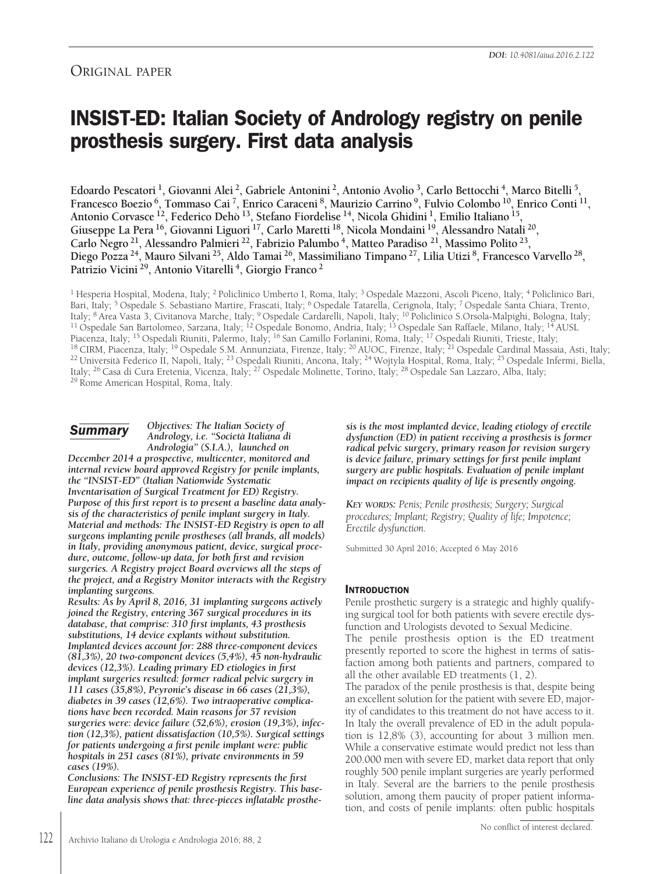# ORIGINAL PAPER

# **INSIST-ED: Italian Society of Andrology registry on penile prosthesis surgery. First data analysis**

Edoardo Pescatori<sup>1</sup>, Giovanni Alei<sup>2</sup>, Gabriele Antonini<sup>2</sup>, Antonio Avolio<sup>3</sup>, Carlo Bettocchi<sup>4</sup>, Marco Bitelli<sup>5</sup>, Francesco Boezio<sup>6</sup>, Tommaso Cai<sup>7</sup>, Enrico Caraceni<sup>8</sup>, Maurizio Carrino<sup>9</sup>, Fulvio Colombo<sup>10</sup>, Enrico Conti<sup>11</sup>, **Antonio Corvasce 12, Federico Dehò 13, Stefano Fiordelise 14, Nicola Ghidini 1, Emilio Italiano 15, Giuseppe La Pera 16, Giovanni Liguori 17, Carlo Maretti 18, Nicola Mondaini 19, Alessandro Natali 20, Carlo Negro 21, Alessandro Palmieri 22, Fabrizio Palumbo 4, Matteo Paradiso 21, Massimo Polito 23,** Diego Pozza<sup>24</sup>, Mauro Silvani<sup>25</sup>, Aldo Tamai<sup>26</sup>, Massimiliano Timpano<sup>27</sup>, Lilia Utizi<sup>8</sup>, Francesco Varvello<sup>28</sup>, **Patrizio Vicini 29, Antonio Vitarelli 4, Giorgio Franco <sup>2</sup>**

<sup>1</sup> Hesperia Hospital, Modena, Italy; <sup>2</sup> Policlinico Umberto I, Roma, Italy; <sup>3</sup> Ospedale Mazzoni, Ascoli Piceno, Italy; <sup>4</sup> Policlinico Bari, Bari, Italy; <sup>5</sup> Ospedale S. Sebastiano Martire, Frascati, Italy; <sup>6</sup> Ospedale Tatarella, Cerignola, Italy; <sup>7</sup> Ospedale Santa Chiara, Trento, Italy; <sup>8</sup> Area Vasta 3, Civitanova Marche, Italy; <sup>9</sup> Ospedale Cardarelli, Napoli, Italy; <sup>10</sup> Policlinico S.Orsola-Malpighi, Bologna, Italy; <sup>11</sup> Ospedale San Bartolomeo, Sarzana, Italy; <sup>12</sup> Ospedale Bonomo, Andria, Italy; <sup>13</sup> Ospedale San Raffaele, Milano, Italy; <sup>14</sup> AUSL Piacenza, Italy; <sup>15</sup> Ospedali Riuniti, Palermo, Italy; <sup>16</sup> San Camillo Forlanini, Roma, Italy; <sup>17</sup> Ospedali Riuniti, Trieste, Italy; <sup>18</sup> CIRM, Piacenza, Italy; <sup>19</sup> Ospedale S.M. Annunziata, Firenze, Italy; <sup>20</sup> AUOC, Firenze, Italy; <sup>21</sup> Ospedale Cardinal Massaia, Asti, Italy; <sup>22</sup> Università Federico II, Napoli, Italy; <sup>23</sup> Ospedali Riuniti, Ancona, Italy; <sup>24</sup> Wojtyla Hospital, Roma, Italy; <sup>25</sup> Ospedale Infermi, Biella, Italy; <sup>26</sup> Casa di Cura Eretenia, Vicenza, Italy; <sup>27</sup> Ospedale Molinette, Torino, Italy; <sup>28</sup> Ospedale San Lazzaro, Alba, Italy; <sup>29</sup> Rome American Hospital, Roma, Italy.

# *Summary*

# *Objectives: The Italian Society of Andrology, i.e. "Società Italiana di Andrologia" (S.I.A.), launched on*

*December 2014 a prospective, multicenter, monitored and internal review board approved Registry for penile implants, the "INSIST-ED" (Italian Nationwide Systematic Inventarisation of Surgical Treatment for ED) Registry. Purpose of this first report is to present a baseline data analysis of the characteristics of penile implant surgery in Italy. Material and methods: The INSIST-ED Registry is open to all surgeons implanting penile prostheses (all brands, all models) in Italy, providing anonymous patient, device, surgical procedure, outcome, follow-up data, for both first and revision surgeries. A Registry project Board overviews all the steps of the project, and a Registry Monitor interacts with the Registry implanting surgeons.*

*Results: As by April 8, 2016, 31 implanting surgeons actively joined the Registry, entering 367 surgical procedures in its database, that comprise: 310 first implants, 43 prosthesis substitutions, 14 device explants without substitution. Implanted devices account for: 288 three-component devices (81,3%), 20 two-component devices (5,4%), 45 non-hydraulic devices (12,3%). Leading primary ED etiologies in first implant surgeries resulted: former radical pelvic surgery in 111 cases (35,8%), Peyronie's disease in 66 cases (21,3%), diabetes in 39 cases (12,6%). Two intraoperative complications have been recorded. Main reasons for 57 revision surgeries were: device failure (52,6%), erosion (19,3%), infection (12,3%), patient dissatisfaction (10,5%). Surgical settings for patients undergoing a first penile implant were: public hospitals in 251 cases (81%), private environments in 59 cases (19%).*

*Conclusions: The INSIST-ED Registry represents the first European experience of penile prosthesis Registry. This baseline data analysis shows that: three-pieces inflatable prosthe-* *sis is the most implanted device, leading etiology of erectile dysfunction (ED) in patient receiving a prosthesis is former radical pelvic surgery, primary reason for revision surgery is device failure, primary settings for first penile implant surgery are public hospitals. Evaluation of penile implant impact on recipients quality of life is presently ongoing.*

*KEY WORDS: Penis; Penile prosthesis; Surgery; Surgical procedures; Implant; Registry; Quality of life; Impotence; Erectile dysfunction.*

Submitted 30 April 2016; Accepted 6 May 2016

# **INTRODUCTION**

Penile prosthetic surgery is a strategic and highly qualifying surgical tool for both patients with severe erectile dysfunction and Urologists devoted to Sexual Medicine.

The penile prosthesis option is the ED treatment presently reported to score the highest in terms of satisfaction among both patients and partners, compared to all the other available ED treatments (1, 2).

The paradox of the penile prosthesis is that, despite being an excellent solution for the patient with severe ED, majority of candidates to this treatment do not have access to it. In Italy the overall prevalence of ED in the adult population is 12,8% (3), accounting for about 3 million men. While a conservative estimate would predict not less than 200.000 men with severe ED, market data report that only roughly 500 penile implant surgeries are yearly performed in Italy. Several are the barriers to the penile prosthesis solution, among them paucity of proper patient information, and costs of penile implants: often public hospitals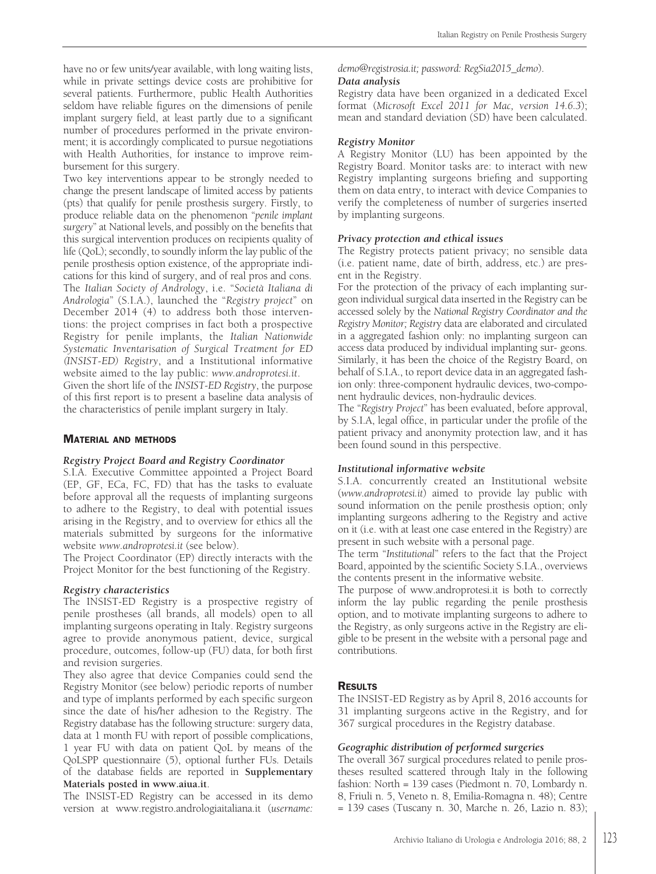have no or few units/year available, with long waiting lists, while in private settings device costs are prohibitive for several patients. Furthermore, public Health Authorities seldom have reliable figures on the dimensions of penile implant surgery field, at least partly due to a significant number of procedures performed in the private environment; it is accordingly complicated to pursue negotiations with Health Authorities, for instance to improve reimbursement for this surgery.

Two key interventions appear to be strongly needed to change the present landscape of limited access by patients (pts) that qualify for penile prosthesis surgery. Firstly, to produce reliable data on the phenomenon "*penile implant surgery*" at National levels, and possibly on the benefits that this surgical intervention produces on recipients quality of life (QoL); secondly, to soundly inform the lay public of the penile prosthesis option existence, of the appropriate indications for this kind of surgery, and of real pros and cons. The *Italian Society of Andrology*, i.e. "*Società Italiana di Andrologia*" (S.I.A.), launched the "*Registry project*" on December 2014 (4) to address both those interventions: the project comprises in fact both a prospective Registry for penile implants, the *Italian Nationwide Systematic Inventarisation of Surgical Treatment for ED (INSIST-ED) Registry*, and a Institutional informative website aimed to the lay public: *www.androprotesi.it*. Given the short life of the *INSIST-ED Registry*, the purpose

of this first report is to present a baseline data analysis of the characteristics of penile implant surgery in Italy.

# **MATERIAL AND METHODS**

#### *Registry Project Board and Registry Coordinator*

S.I.A. Executive Committee appointed a Project Board (EP, GF, ECa, FC, FD) that has the tasks to evaluate before approval all the requests of implanting surgeons to adhere to the Registry, to deal with potential issues arising in the Registry, and to overview for ethics all the materials submitted by surgeons for the informative website *www.androprotesi.it* (see below).

The Project Coordinator (EP) directly interacts with the Project Monitor for the best functioning of the Registry.

#### *Registry characteristics*

The INSIST-ED Registry is a prospective registry of penile prostheses (all brands, all models) open to all implanting surgeons operating in Italy. Registry surgeons agree to provide anonymous patient, device, surgical procedure, outcomes, follow-up (FU) data, for both first and revision surgeries.

They also agree that device Companies could send the Registry Monitor (see below) periodic reports of number and type of implants performed by each specific surgeon since the date of his/her adhesion to the Registry. The Registry database has the following structure: surgery data, data at 1 month FU with report of possible complications, 1 year FU with data on patient QoL by means of the QoLSPP questionnaire (5), optional further FUs. Details of the database fields are reported in **Supplementary Materials posted in www.aiua.it**.

The INSIST-ED Registry can be accessed in its demo version at www.registro.andrologiaitaliana.it (*username:* *demo@registrosia.it; password: RegSia2015\_demo*).

## *Data analysis*

Registry data have been organized in a dedicated Excel format (*Microsoft Excel 2011 for Mac, version 14.6.3*); mean and standard deviation (SD) have been calculated.

#### *Registry Monitor*

A Registry Monitor (LU) has been appointed by the Registry Board. Monitor tasks are: to interact with new Registry implanting surgeons briefing and supporting them on data entry, to interact with device Companies to verify the completeness of number of surgeries inserted by implanting surgeons.

#### *Privacy protection and ethical issues*

The Registry protects patient privacy; no sensible data (i.e. patient name, date of birth, address, etc.) are present in the Registry.

For the protection of the privacy of each implanting surgeon individual surgical data inserted in the Registry can be accessed solely by the *National Registry Coordinator and the Registry Monitor; Registr*y data are elaborated and circulated in a aggregated fashion only: no implanting surgeon can access data produced by individual implanting sur- geons. Similarly, it has been the choice of the Registry Board, on behalf of S.I.A., to report device data in an aggregated fashion only: three-component hydraulic devices, two-component hydraulic devices, non-hydraulic devices.

The "*Registry Project*" has been evaluated, before approval, by S.I.A, legal office, in particular under the profile of the patient privacy and anonymity protection law, and it has been found sound in this perspective.

#### *Institutional informative website*

S.I.A. concurrently created an Institutional website (*www.androprotesi.it*) aimed to provide lay public with sound information on the penile prosthesis option; only implanting surgeons adhering to the Registry and active on it (i.e. with at least one case entered in the Registry) are present in such website with a personal page.

The term "*Institutional*" refers to the fact that the Project Board, appointed by the scientific Society S.I.A., overviews the contents present in the informative website.

The purpose of www.androprotesi.it is both to correctly inform the lay public regarding the penile prosthesis option, and to motivate implanting surgeons to adhere to the Registry, as only surgeons active in the Registry are eligible to be present in the website with a personal page and contributions.

#### **RESULTS**

The INSIST-ED Registry as by April 8, 2016 accounts for 31 implanting surgeons active in the Registry, and for 367 surgical procedures in the Registry database.

#### *Geographic distribution of performed surgeries*

The overall 367 surgical procedures related to penile prostheses resulted scattered through Italy in the following fashion: North = 139 cases (Piedmont n. 70, Lombardy n. 8, Friuli n. 5, Veneto n. 8, Emilia-Romagna n. 48); Centre = 139 cases (Tuscany n. 30, Marche n. 26, Lazio n. 83);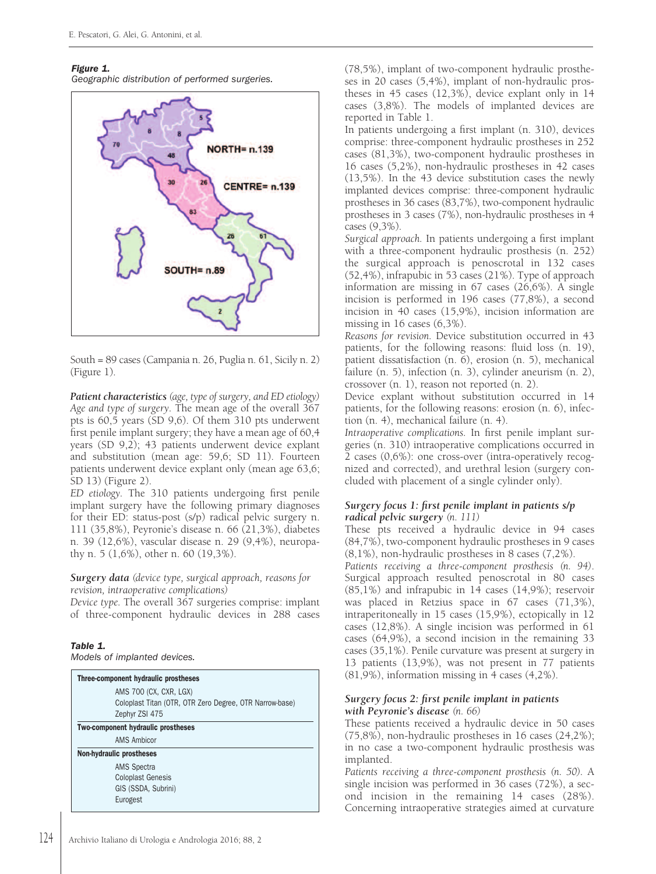#### *Figure 1.*

*Geographic distribution of performed surgeries.*



South = 89 cases (Campania n. 26, Puglia n. 61, Sicily n. 2) (Figure 1).

*Patient characteristics (age, type of surgery, and ED etiology) Age and type of surgery.* The mean age of the overall 367 pts is 60,5 years (SD 9,6). Of them 310 pts underwent first penile implant surgery; they have a mean age of 60,4 years (SD 9,2); 43 patients underwent device explant and substitution (mean age: 59,6; SD 11). Fourteen patients underwent device explant only (mean age 63,6; SD 13) (Figure 2).

*ED etiology.* The 310 patients undergoing first penile implant surgery have the following primary diagnoses for their ED: status-post (s/p) radical pelvic surgery n. 111 (35,8%), Peyronie's disease n. 66 (21,3%), diabetes n. 39 (12,6%), vascular disease n. 29 (9,4%), neuropathy n. 5 (1,6%), other n. 60 (19,3%).

#### *Surgery data (device type, surgical approach, reasons for revision, intraoperative complications)*

*Device type.* The overall 367 surgeries comprise: implant of three-component hydraulic devices in 288 cases

# *Table 1.*

*Models of implanted devices.*

| Three-component hydraulic prostheses                    |
|---------------------------------------------------------|
| AMS 700 (CX, CXR, LGX)                                  |
| Coloplast Titan (OTR, OTR Zero Degree, OTR Narrow-base) |
| Zephyr ZSI 475                                          |
| Two-component hydraulic prostheses                      |
| <b>AMS Ambicor</b>                                      |
| <b>Non-hydraulic prostheses</b>                         |
| AMS Spectra                                             |
| <b>Coloplast Genesis</b>                                |
| GIS (SSDA, Subrini)                                     |
| Eurogest                                                |

(78,5%), implant of two-component hydraulic prostheses in 20 cases (5,4%), implant of non-hydraulic prostheses in 45 cases (12,3%), device explant only in 14 cases (3,8%). The models of implanted devices are reported in Table 1.

In patients undergoing a first implant (n. 310), devices comprise: three-component hydraulic prostheses in 252 cases (81,3%), two-component hydraulic prostheses in 16 cases (5,2%), non-hydraulic prostheses in 42 cases (13,5%). In the 43 device substitution cases the newly implanted devices comprise: three-component hydraulic prostheses in 36 cases (83,7%), two-component hydraulic prostheses in 3 cases (7%), non-hydraulic prostheses in 4 cases (9,3%).

*Surgical approach.* In patients undergoing a first implant with a three-component hydraulic prosthesis (n. 252) the surgical approach is penoscrotal in 132 cases (52,4%), infrapubic in 53 cases (21%). Type of approach information are missing in 67 cases (26,6%). A single incision is performed in 196 cases (77,8%), a second incision in 40 cases (15,9%), incision information are missing in 16 cases (6,3%).

*Reasons for revision.* Device substitution occurred in 43 patients, for the following reasons: fluid loss (n. 19), patient dissatisfaction (n. 6), erosion (n. 5), mechanical failure (n. 5), infection (n. 3), cylinder aneurism (n. 2), crossover (n. 1), reason not reported (n. 2).

Device explant without substitution occurred in 14 patients, for the following reasons: erosion (n. 6), infection (n. 4), mechanical failure (n. 4).

*Intraoperative complications.* In first penile implant surgeries (n. 310) intraoperative complications occurred in 2 cases (0,6%): one cross-over (intra-operatively recognized and corrected), and urethral lesion (surgery concluded with placement of a single cylinder only).

# *Surgery focus 1: first penile implant in patients s/p radical pelvic surgery (n. 111)*

These pts received a hydraulic device in 94 cases (84,7%), two-component hydraulic prostheses in 9 cases (8,1%), non-hydraulic prostheses in 8 cases (7,2%).

*Patients receiving a three-component prosthesis (n. 94)*. Surgical approach resulted penoscrotal in 80 cases (85,1%) and infrapubic in 14 cases (14,9%); reservoir was placed in Retzius space in 67 cases (71,3%), intraperitoneally in 15 cases (15,9%), ectopically in 12 cases (12,8%). A single incision was performed in 61 cases (64,9%), a second incision in the remaining 33 cases (35,1%). Penile curvature was present at surgery in 13 patients (13,9%), was not present in 77 patients (81,9%), information missing in 4 cases (4,2%).

# *Surgery focus 2: first penile implant in patients with Peyronie's disease (n. 66)*

These patients received a hydraulic device in 50 cases (75,8%), non-hydraulic prostheses in 16 cases (24,2%); in no case a two-component hydraulic prosthesis was implanted.

*Patients receiving a three-component prosthesis (n. 50).* A single incision was performed in 36 cases (72%), a second incision in the remaining 14 cases (28%). Concerning intraoperative strategies aimed at curvature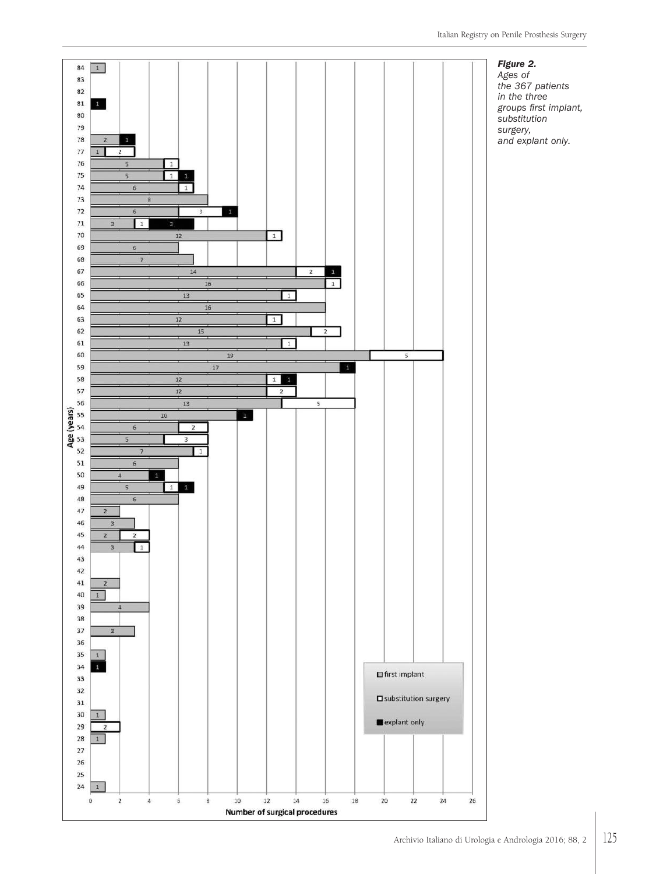

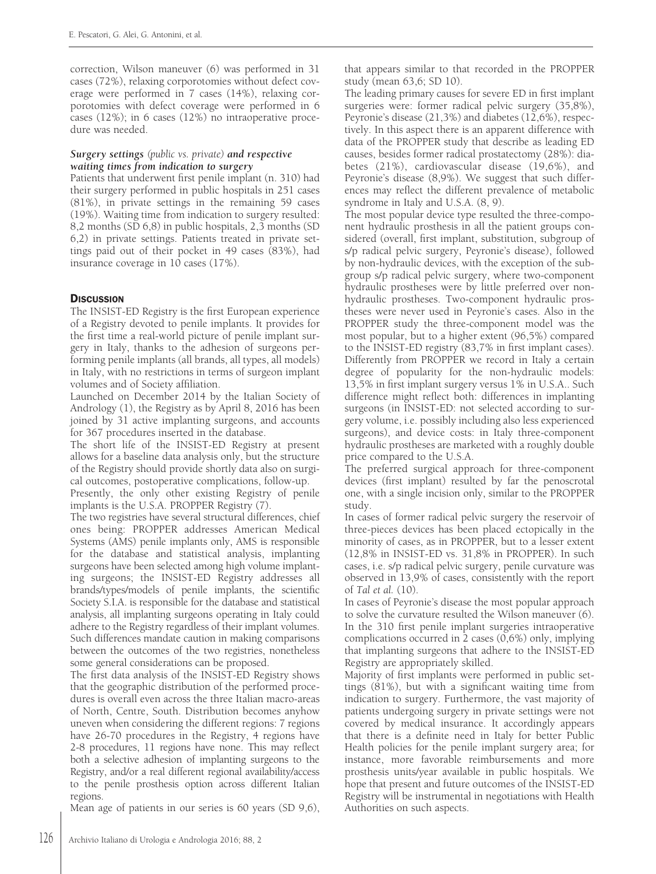correction, Wilson maneuver (6) was performed in 31 cases (72%), relaxing corporotomies without defect coverage were performed in 7 cases (14%), relaxing corporotomies with defect coverage were performed in 6 cases (12%); in 6 cases (12%) no intraoperative procedure was needed.

# *Surgery settings (public vs. private) and respective waiting times from indication to surgery*

Patients that underwent first penile implant (n. 310) had their surgery performed in public hospitals in 251 cases (81%), in private settings in the remaining 59 cases (19%). Waiting time from indication to surgery resulted: 8,2 months (SD 6,8) in public hospitals, 2,3 months (SD 6,2) in private settings. Patients treated in private settings paid out of their pocket in 49 cases (83%), had insurance coverage in 10 cases (17%).

# **DISCUSSION**

The INSIST-ED Registry is the first European experience of a Registry devoted to penile implants. It provides for the first time a real-world picture of penile implant surgery in Italy, thanks to the adhesion of surgeons performing penile implants (all brands, all types, all models) in Italy, with no restrictions in terms of surgeon implant volumes and of Society affiliation.

Launched on December 2014 by the Italian Society of Andrology (1), the Registry as by April 8, 2016 has been joined by 31 active implanting surgeons, and accounts for 367 procedures inserted in the database.

The short life of the INSIST-ED Registry at present allows for a baseline data analysis only, but the structure of the Registry should provide shortly data also on surgical outcomes, postoperative complications, follow-up.

Presently, the only other existing Registry of penile implants is the U.S.A. PROPPER Registry (7).

The two registries have several structural differences, chief ones being: PROPPER addresses American Medical Systems (AMS) penile implants only, AMS is responsible for the database and statistical analysis, implanting surgeons have been selected among high volume implanting surgeons; the INSIST-ED Registry addresses all brands/types/models of penile implants, the scientific Society S.I.A. is responsible for the database and statistical analysis, all implanting surgeons operating in Italy could adhere to the Registry regardless of their implant volumes. Such differences mandate caution in making comparisons between the outcomes of the two registries, nonetheless some general considerations can be proposed.

The first data analysis of the INSIST-ED Registry shows that the geographic distribution of the performed procedures is overall even across the three Italian macro-areas of North, Centre, South. Distribution becomes anyhow uneven when considering the different regions: 7 regions have 26-70 procedures in the Registry, 4 regions have 2-8 procedures, 11 regions have none. This may reflect both a selective adhesion of implanting surgeons to the Registry, and/or a real different regional availability/access to the penile prosthesis option across different Italian regions.

Mean age of patients in our series is 60 years (SD 9,6),

that appears similar to that recorded in the PROPPER study (mean 63,6; SD 10).

The leading primary causes for severe ED in first implant surgeries were: former radical pelvic surgery (35,8%), Peyronie's disease (21,3%) and diabetes (12,6%), respectively. In this aspect there is an apparent difference with data of the PROPPER study that describe as leading ED causes, besides former radical prostatectomy (28%): diabetes (21%), cardiovascular disease (19,6%), and Peyronie's disease (8,9%). We suggest that such differences may reflect the different prevalence of metabolic syndrome in Italy and U.S.A. (8, 9).

The most popular device type resulted the three-component hydraulic prosthesis in all the patient groups considered (overall, first implant, substitution, subgroup of s/p radical pelvic surgery, Peyronie's disease), followed by non-hydraulic devices, with the exception of the subgroup s/p radical pelvic surgery, where two-component hydraulic prostheses were by little preferred over nonhydraulic prostheses. Two-component hydraulic prostheses were never used in Peyronie's cases. Also in the PROPPER study the three-component model was the most popular, but to a higher extent (96,5%) compared to the INSIST-ED registry (83,7% in first implant cases). Differently from PROPPER we record in Italy a certain degree of popularity for the non-hydraulic models: 13,5% in first implant surgery versus 1% in U.S.A.. Such difference might reflect both: differences in implanting surgeons (in INSIST-ED: not selected according to surgery volume, i.e. possibly including also less experienced surgeons), and device costs: in Italy three-component hydraulic prostheses are marketed with a roughly double price compared to the U.S.A.

The preferred surgical approach for three-component devices (first implant) resulted by far the penoscrotal one, with a single incision only, similar to the PROPPER study.

In cases of former radical pelvic surgery the reservoir of three-pieces devices has been placed ectopically in the minority of cases, as in PROPPER, but to a lesser extent (12,8% in INSIST-ED vs. 31,8% in PROPPER). In such cases, i.e. s/p radical pelvic surgery, penile curvature was observed in 13,9% of cases, consistently with the report of *Tal et al.* (10).

In cases of Peyronie's disease the most popular approach to solve the curvature resulted the Wilson maneuver (6). In the 310 first penile implant surgeries intraoperative complications occurred in 2 cases (0,6%) only, implying that implanting surgeons that adhere to the INSIST-ED Registry are appropriately skilled.

Majority of first implants were performed in public settings (81%), but with a significant waiting time from indication to surgery. Furthermore, the vast majority of patients undergoing surgery in private settings were not covered by medical insurance. It accordingly appears that there is a definite need in Italy for better Public Health policies for the penile implant surgery area; for instance, more favorable reimbursements and more prosthesis units/year available in public hospitals. We hope that present and future outcomes of the INSIST-ED Registry will be instrumental in negotiations with Health Authorities on such aspects.